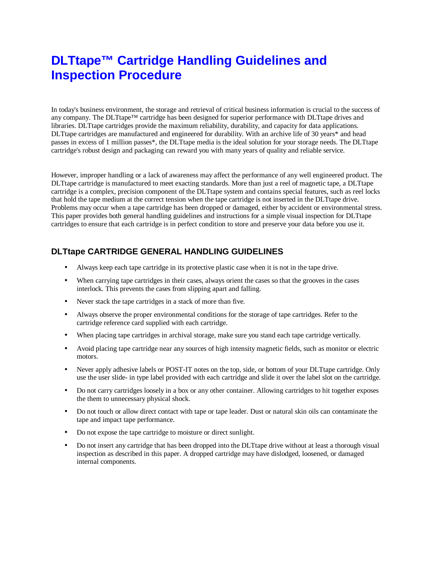# **DLTtape™ Cartridge Handling Guidelines and Inspection Procedure**

In today's business environment, the storage and retrieval of critical business information is crucial to the success of any company. The DLTtape™ cartridge has been designed for superior performance with DLTtape drives and libraries. DLTtape cartridges provide the maximum reliability, durability, and capacity for data applications. DLTtape cartridges are manufactured and engineered for durability. With an archive life of 30 years\* and head passes in excess of 1 million passes\*, the DLTtape media is the ideal solution for your storage needs. The DLTtape cartridge's robust design and packaging can reward you with many years of quality and reliable service.

However, improper handling or a lack of awareness may affect the performance of any well engineered product. The DLTtape cartridge is manufactured to meet exacting standards. More than just a reel of magnetic tape, a DLTtape cartridge is a complex, precision component of the DLTtape system and contains special features, such as reel locks that hold the tape medium at the correct tension when the tape cartridge is not inserted in the DLTtape drive. Problems may occur when a tape cartridge has been dropped or damaged, either by accident or environmental stress. This paper provides both general handling guidelines and instructions for a simple visual inspection for DLTtape cartridges to ensure that each cartridge is in perfect condition to store and preserve your data before you use it.

### **DLTtape CARTRIDGE GENERAL HANDLING GUIDELINES**

- Always keep each tape cartridge in its protective plastic case when it is not in the tape drive.
- When carrying tape cartridges in their cases, always orient the cases so that the grooves in the cases interlock. This prevents the cases from slipping apart and falling.
- Never stack the tape cartridges in a stack of more than five.
- Always observe the proper environmental conditions for the storage of tape cartridges. Refer to the cartridge reference card supplied with each cartridge.
- When placing tape cartridges in archival storage, make sure you stand each tape cartridge vertically.
- Avoid placing tape cartridge near any sources of high intensity magnetic fields, such as monitor or electric motors.
- Never apply adhesive labels or POST-IT notes on the top, side, or bottom of your DLTtape cartridge. Only use the user slide- in type label provided with each cartridge and slide it over the label slot on the cartridge.
- Do not carry cartridges loosely in a box or any other container. Allowing cartridges to hit together exposes the them to unnecessary physical shock.
- Do not touch or allow direct contact with tape or tape leader. Dust or natural skin oils can contaminate the tape and impact tape performance.
- Do not expose the tape cartridge to moisture or direct sunlight.
- Do not insert any cartridge that has been dropped into the DLTtape drive without at least a thorough visual inspection as described in this paper. A dropped cartridge may have dislodged, loosened, or damaged internal components.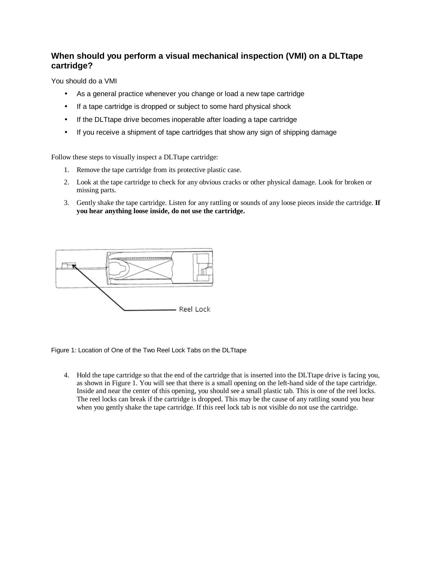## **When should you perform a visual mechanical inspection (VMI) on a DLTtape cartridge?**

You should do a VMI

- As a general practice whenever you change or load a new tape cartridge
- If a tape cartridge is dropped or subject to some hard physical shock
- If the DLTtape drive becomes inoperable after loading a tape cartridge
- If you receive a shipment of tape cartridges that show any sign of shipping damage

Follow these steps to visually inspect a DLTtape cartridge:

- 1. Remove the tape cartridge from its protective plastic case.
- 2. Look at the tape cartridge to check for any obvious cracks or other physical damage. Look for broken or missing parts.
- 3. Gently shake the tape cartridge. Listen for any rattling or sounds of any loose pieces inside the cartridge. **If you hear anything loose inside, do not use the cartridge.**



Figure 1: Location of One of the Two Reel Lock Tabs on the DLTtape

4. Hold the tape cartridge so that the end of the cartridge that is inserted into the DLTtape drive is facing you, as shown in Figure 1. You will see that there is a small opening on the left-hand side of the tape cartridge. Inside and near the center of this opening, you should see a small plastic tab. This is one of the reel locks. The reel locks can break if the cartridge is dropped. This may be the cause of any rattling sound you hear when you gently shake the tape cartridge. If this reel lock tab is not visible do not use the cartridge.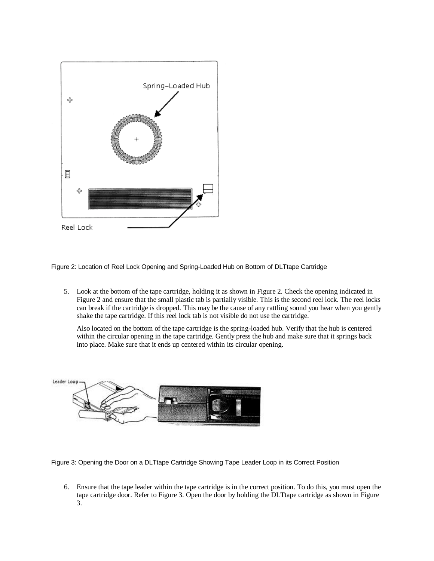

Figure 2: Location of Reel Lock Opening and Spring-Loaded Hub on Bottom of DLTtape Cartridge

5. Look at the bottom of the tape cartridge, holding it as shown in Figure 2. Check the opening indicated in Figure 2 and ensure that the small plastic tab is partially visible. This is the second reel lock. The reel locks can break if the cartridge is dropped. This may be the cause of any rattling sound you hear when you gently shake the tape cartridge. If this reel lock tab is not visible do not use the cartridge.

Also located on the bottom of the tape cartridge is the spring-loaded hub. Verify that the hub is centered within the circular opening in the tape cartridge. Gently press the hub and make sure that it springs back into place. Make sure that it ends up centered within its circular opening.



Figure 3: Opening the Door on a DLTtape Cartridge Showing Tape Leader Loop in its Correct Position

6. Ensure that the tape leader within the tape cartridge is in the correct position. To do this, you must open the tape cartridge door. Refer to Figure 3. Open the door by holding the DLTtape cartridge as shown in Figure 3.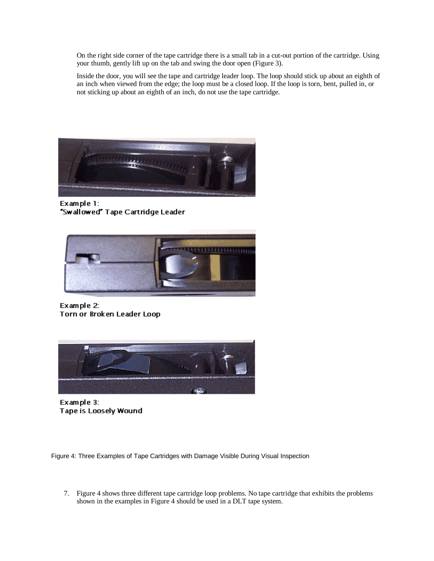On the right side corner of the tape cartridge there is a small tab in a cut-out portion of the cartridge. Using your thumb, gently lift up on the tab and swing the door open (Figure 3).

Inside the door, you will see the tape and cartridge leader loop. The loop should stick up about an eighth of an inch when viewed from the edge; the loop must be a closed loop. If the loop is torn, bent, pulled in, or not sticking up about an eighth of an inch, do not use the tape cartridge.



Example 1: "Swallowed" Tape Cartridge Leader



Example 2: Torn or Broken Leader Loop



Example 3: Tape is Loosely Wound

Figure 4: Three Examples of Tape Cartridges with Damage Visible During Visual Inspection

7. Figure 4 shows three different tape cartridge loop problems. No tape cartridge that exhibits the problems shown in the examples in Figure 4 should be used in a DLT tape system.